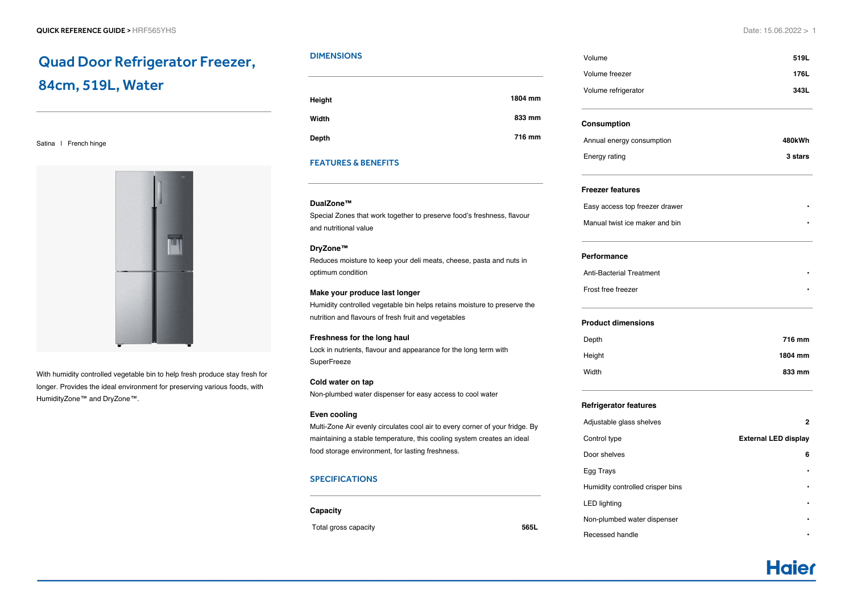# Quad Door Refrigerator Freezer, 84cm, 519L, Water

Satina | French hinge



With humidity controlled vegetable bin to help fresh produce stay fresh for longer. Provides the ideal environment for preserving various foods, with HumidityZone™ and DryZone™.

# DIMENSIONS

| 1804 mm |
|---------|
| 833 mm  |
| 716 mm  |
|         |

# FEATURES & BENEFITS

### **DualZone™**

Special Zones that work together to preserve food's freshness, flavour and nutritional value

#### **DryZone™**

Reduces moisture to keep your deli meats, cheese, pasta and nuts in optimum condition

#### **Make your produce last longer**

Humidity controlled vegetable bin helps retains moisture to preserve the nutrition and flavours of fresh fruit and vegetables

#### **Freshness for the long haul**

Lock in nutrients, flavour and appearance for the long term with **SuperFreeze** 

## **Cold water on tap**

Non-plumbed water dispenser for easy access to cool water

#### **Even cooling**

Multi-Zone Air evenly circulates cool air to every corner of your fridge. By maintaining a stable temperature, this cooling system creates an ideal food storage environment, for lasting freshness.

# SPECIFICATIONS

#### **Capacity**

Total gross capacity **565L**

Volume **519L** Volume freezer **176L** Volume refrigerator **343L Consumption** Annual energy consumption **480kWh** Energy rating **3 stars** 3 stars

#### **Freezer features**

Easy access top freezer drawer **•** Manual twist ice maker and bin **•**

#### **Performance**

Anti-Bacterial Treatment **•** Frost free freezer **•**

#### **Product dimensions**

| 716 mm  |
|---------|
| 1804 mm |
| 833 mm  |
|         |

#### **Refrigerator features**

| Adjustable glass shelves         | 2                           |
|----------------------------------|-----------------------------|
| Control type                     | <b>External LED display</b> |
| Door shelves                     | 6                           |
| Egg Trays                        | ٠                           |
| Humidity controlled crisper bins | ٠                           |
| <b>LED lighting</b>              | ٠                           |
| Non-plumbed water dispenser      |                             |
| Recessed handle                  |                             |

**Haier**